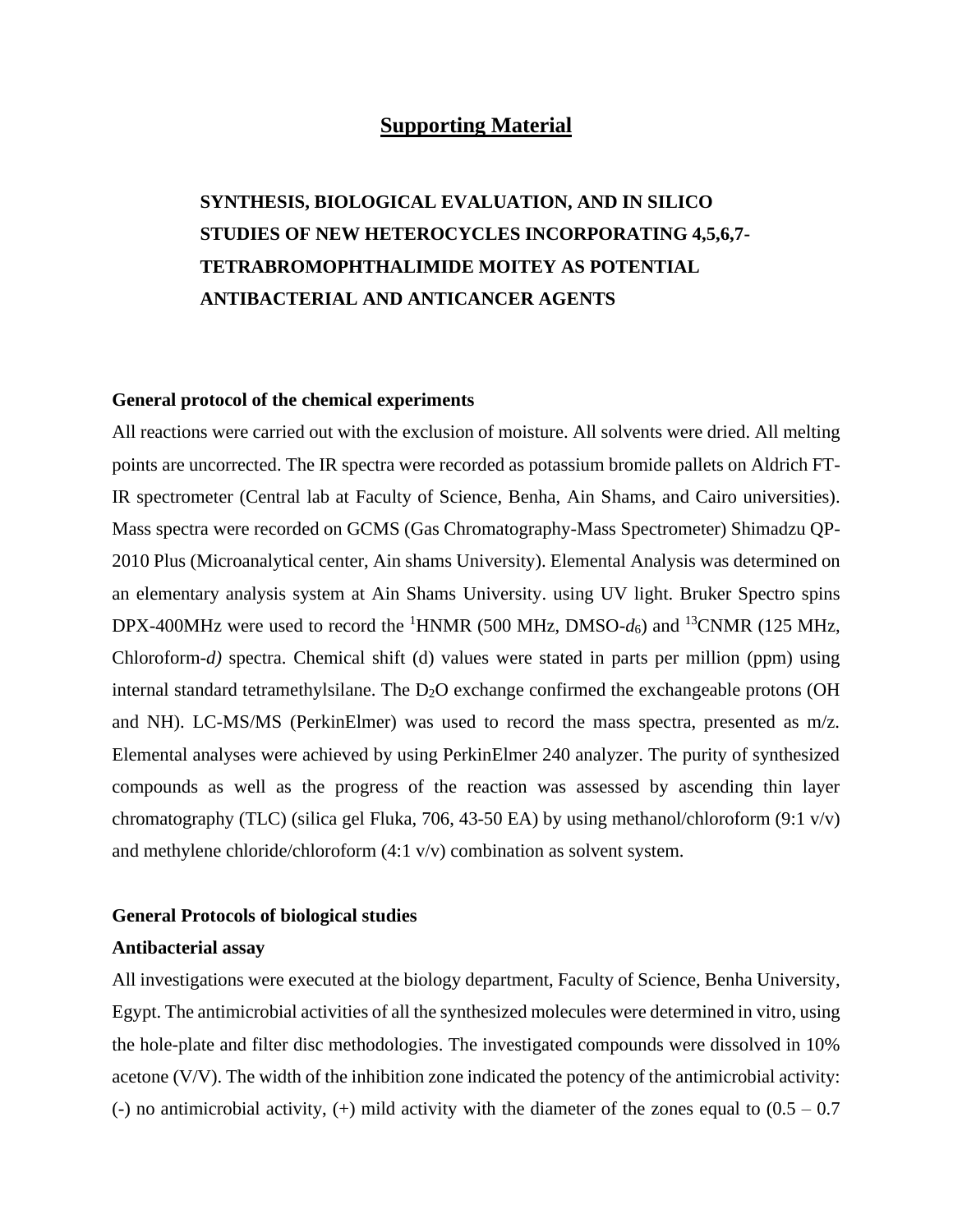### **Supporting Material**

# **SYNTHESIS, BIOLOGICAL EVALUATION, AND IN SILICO STUDIES OF NEW HETEROCYCLES INCORPORATING 4,5,6,7- TETRABROMOPHTHALIMIDE MOITEY AS POTENTIAL ANTIBACTERIAL AND ANTICANCER AGENTS**

#### **General protocol of the chemical experiments**

All reactions were carried out with the exclusion of moisture. All solvents were dried. All melting points are uncorrected. The IR spectra were recorded as potassium bromide pallets on Aldrich FT-IR spectrometer (Central lab at Faculty of Science, Benha, Ain Shams, and Cairo universities). Mass spectra were recorded on GCMS (Gas Chromatography-Mass Spectrometer) Shimadzu QP-2010 Plus (Microanalytical center, Ain shams University). Elemental Analysis was determined on an elementary analysis system at Ain Shams University. using UV light. Bruker Spectro spins DPX-400MHz were used to record the <sup>1</sup>HNMR (500 MHz, DMSO- $d_6$ ) and <sup>13</sup>CNMR (125 MHz, Chloroform-*d)* spectra. Chemical shift (d) values were stated in parts per million (ppm) using internal standard tetramethylsilane. The  $D_2O$  exchange confirmed the exchangeable protons (OH and NH). LC-MS/MS (PerkinElmer) was used to record the mass spectra, presented as m/z. Elemental analyses were achieved by using PerkinElmer 240 analyzer. The purity of synthesized compounds as well as the progress of the reaction was assessed by ascending thin layer chromatography (TLC) (silica gel Fluka, 706, 43-50 EA) by using methanol/chloroform (9:1 v/v) and methylene chloride/chloroform (4:1 v/v) combination as solvent system.

#### **General Protocols of biological studies**

#### **Antibacterial assay**

All investigations were executed at the biology department, Faculty of Science, Benha University, Egypt. The antimicrobial activities of all the synthesized molecules were determined in vitro, using the hole-plate and filter disc methodologies. The investigated compounds were dissolved in 10% acetone (V/V). The width of the inhibition zone indicated the potency of the antimicrobial activity: (-) no antimicrobial activity, (+) mild activity with the diameter of the zones equal to  $(0.5 - 0.7)$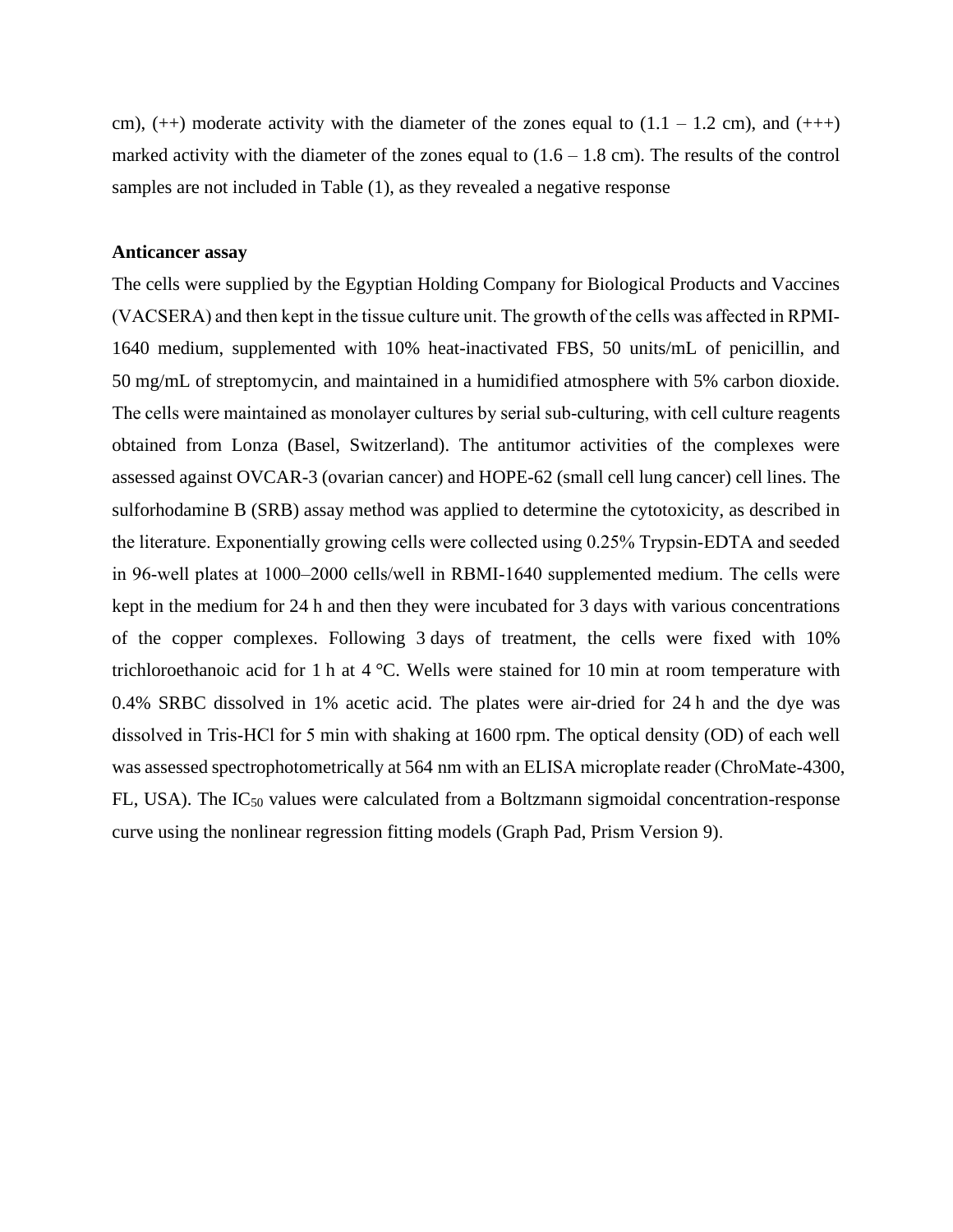cm),  $(++)$  moderate activity with the diameter of the zones equal to  $(1.1 - 1.2 \text{ cm})$ , and  $(++)$ marked activity with the diameter of the zones equal to  $(1.6 - 1.8 \text{ cm})$ . The results of the control samples are not included in Table (1), as they revealed a negative response

#### **Anticancer assay**

The cells were supplied by the Egyptian Holding Company for Biological Products and Vaccines (VACSERA) and then kept in the tissue culture unit. The growth of the cells was affected in RPMI‐ 1640 medium, supplemented with 10% heat-inactivated FBS, 50 units/mL of penicillin, and 50 mg/mL of streptomycin, and maintained in a humidified atmosphere with 5% carbon dioxide. The cells were maintained as monolayer cultures by serial sub-culturing, with cell culture reagents obtained from Lonza (Basel, Switzerland). The antitumor activities of the complexes were assessed against OVCAR-3 (ovarian cancer) and HOPE-62 (small cell lung cancer) cell lines. The sulforhodamine B (SRB) assay method was applied to determine the cytotoxicity, as described in the literature. Exponentially growing cells were collected using 0.25% Trypsin‐EDTA and seeded in 96‐well plates at 1000–2000 cells/well in RBMI‐1640 supplemented medium. The cells were kept in the medium for 24 h and then they were incubated for 3 days with various concentrations of the copper complexes. Following 3 days of treatment, the cells were fixed with 10% trichloroethanoic acid for 1 h at 4 °C. Wells were stained for 10 min at room temperature with 0.4% SRBC dissolved in 1% acetic acid. The plates were air-dried for 24 h and the dye was dissolved in Tris‐HCl for 5 min with shaking at 1600 rpm. The optical density (OD) of each well was assessed spectrophotometrically at 564 nm with an ELISA microplate reader (ChroMate‐4300, FL, USA). The  $IC_{50}$  values were calculated from a Boltzmann sigmoidal concentration-response curve using the nonlinear regression fitting models (Graph Pad, Prism Version 9).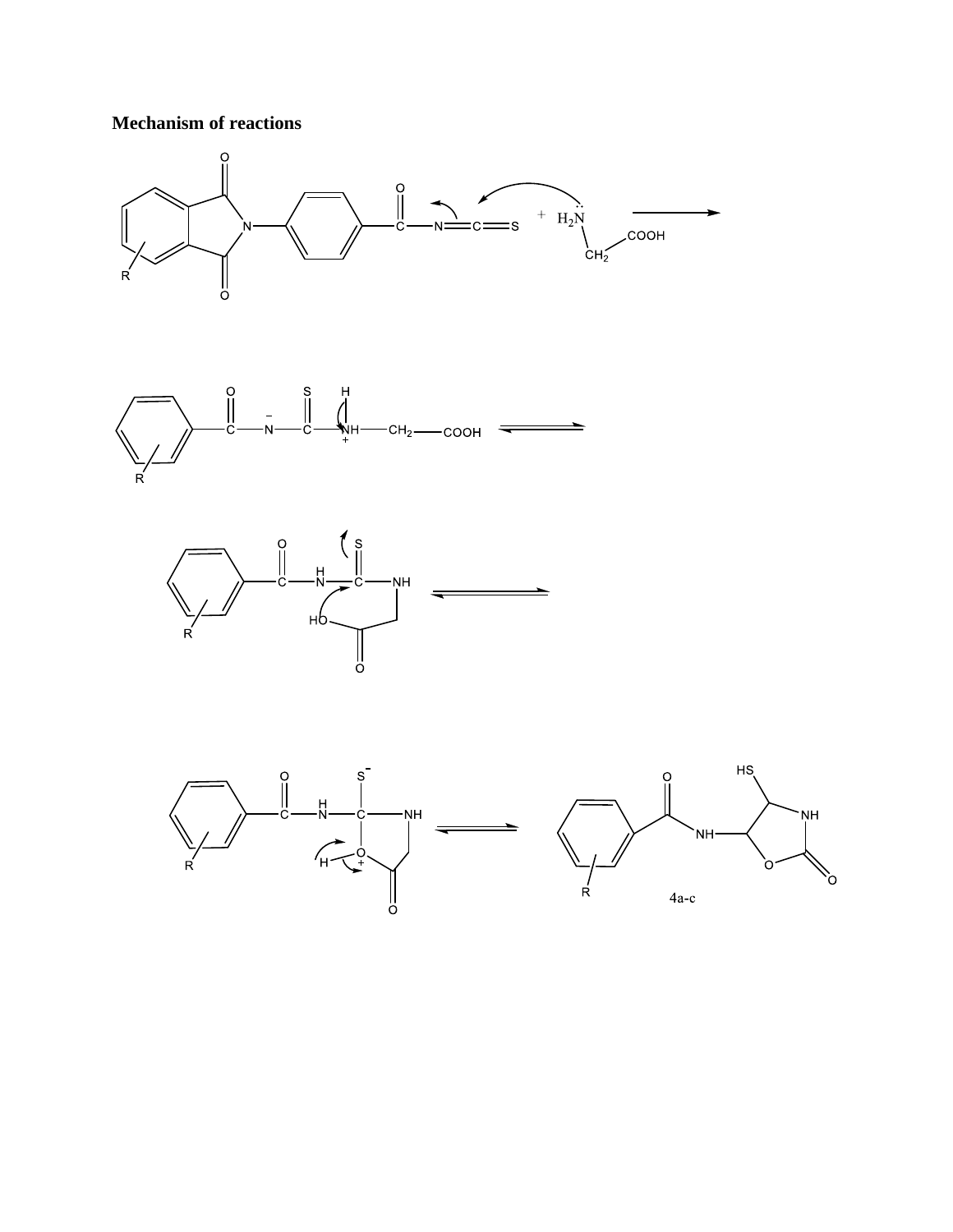## **Mechanism of reactions**





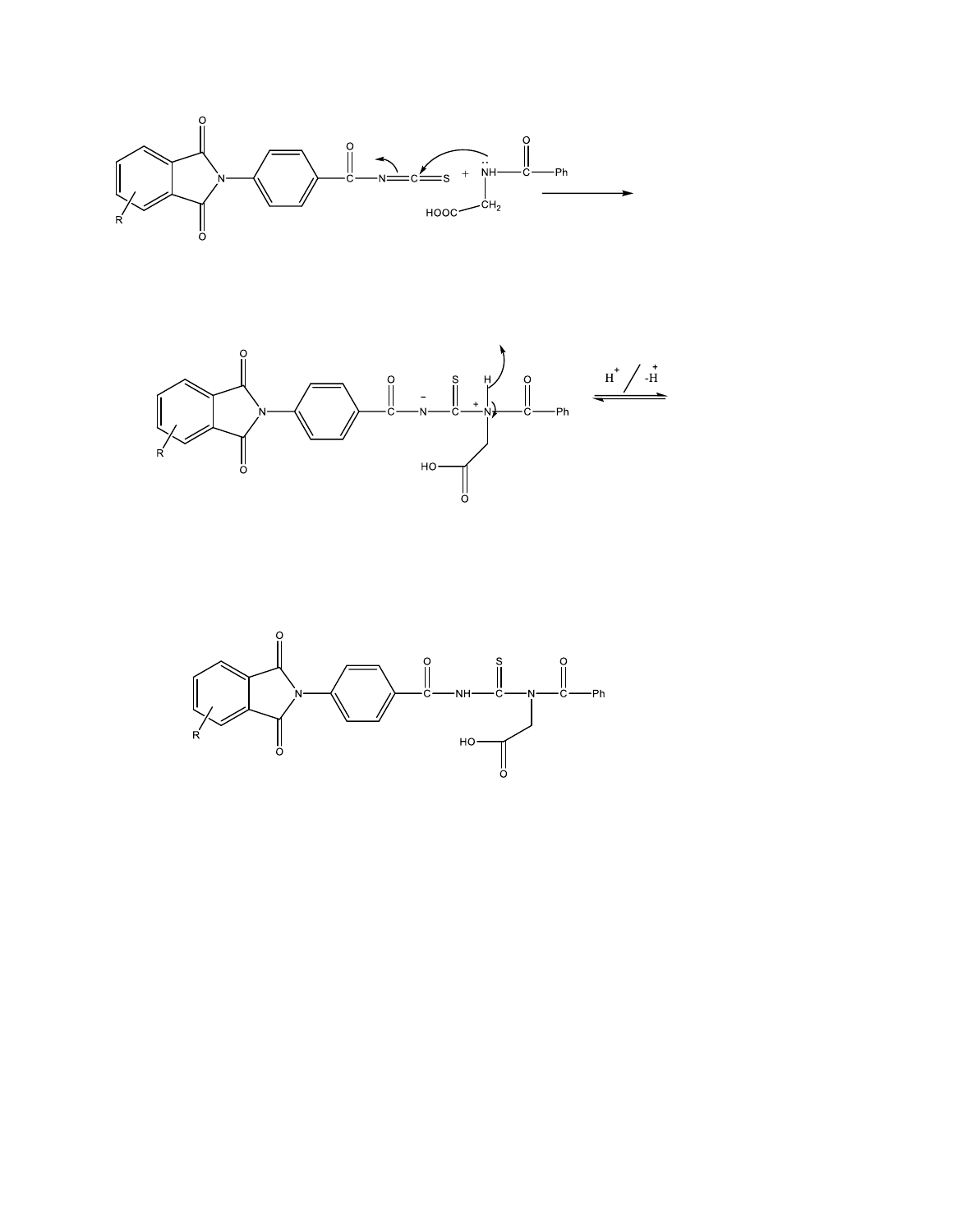



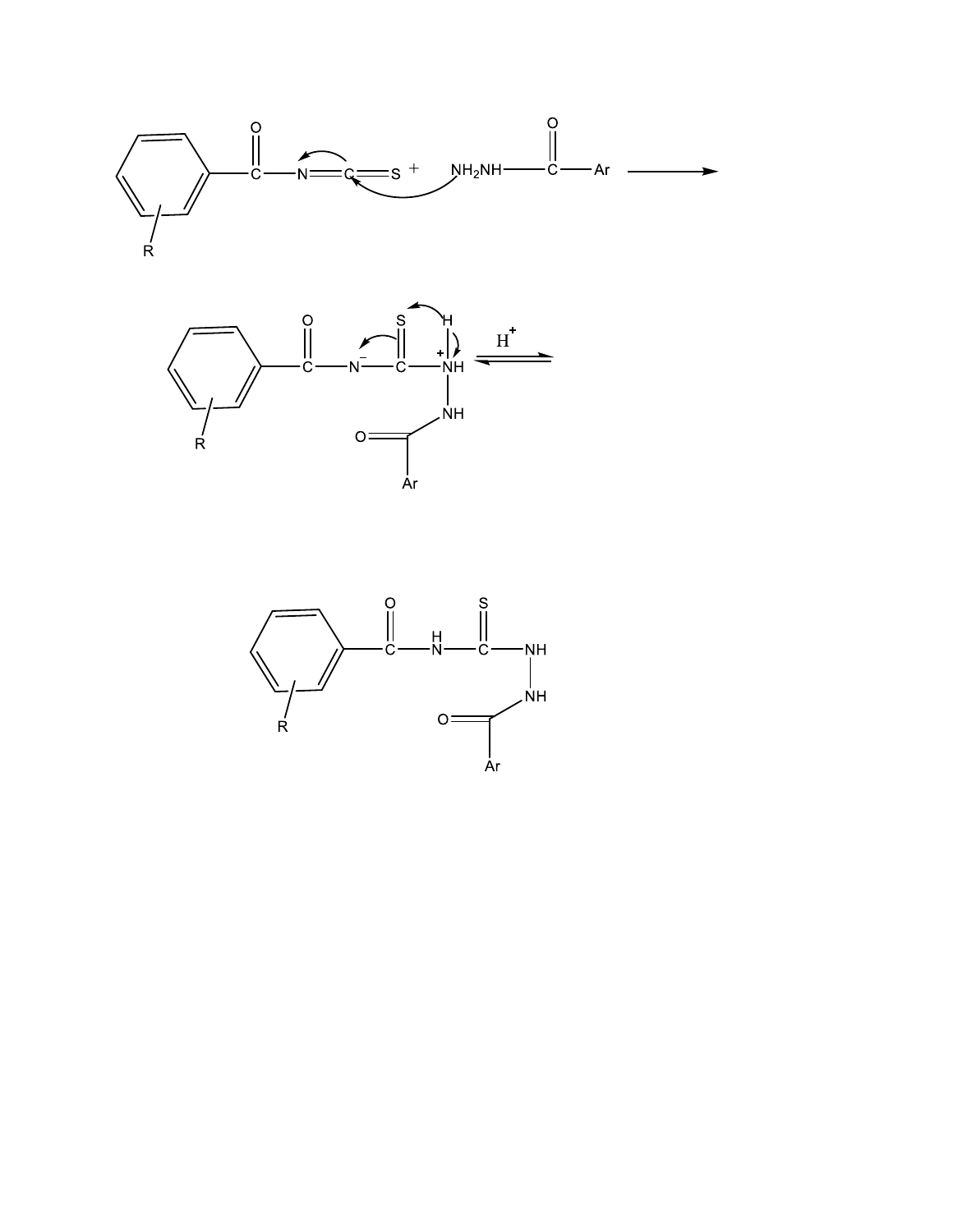